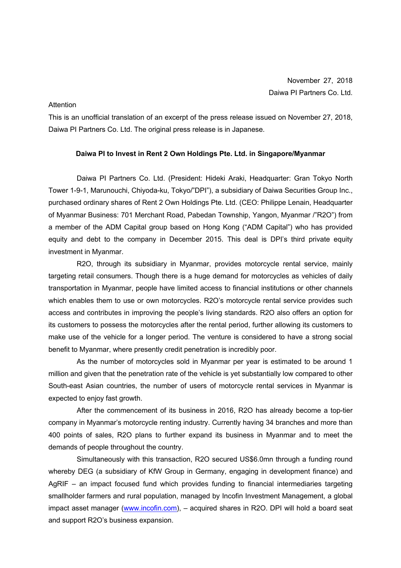## **Attention**

This is an unofficial translation of an excerpt of the press release issued on November 27, 2018, Daiwa PI Partners Co. Ltd. The original press release is in Japanese.

## **Daiwa PI to Invest in Rent 2 Own Holdings Pte. Ltd. in Singapore/Myanmar**

Daiwa PI Partners Co. Ltd. (President: Hideki Araki, Headquarter: Gran Tokyo North Tower 1-9-1, Marunouchi, Chiyoda-ku, Tokyo/"DPI"), a subsidiary of Daiwa Securities Group Inc., purchased ordinary shares of Rent 2 Own Holdings Pte. Ltd. (CEO: Philippe Lenain, Headquarter of Myanmar Business: 701 Merchant Road, Pabedan Township, Yangon, Myanmar /"R2O") from a member of the ADM Capital group based on Hong Kong ("ADM Capital") who has provided equity and debt to the company in December 2015. This deal is DPI's third private equity investment in Myanmar.

R2O, through its subsidiary in Myanmar, provides motorcycle rental service, mainly targeting retail consumers. Though there is a huge demand for motorcycles as vehicles of daily transportation in Myanmar, people have limited access to financial institutions or other channels which enables them to use or own motorcycles. R2O's motorcycle rental service provides such access and contributes in improving the people's living standards. R2O also offers an option for its customers to possess the motorcycles after the rental period, further allowing its customers to make use of the vehicle for a longer period. The venture is considered to have a strong social benefit to Myanmar, where presently credit penetration is incredibly poor.

As the number of motorcycles sold in Myanmar per year is estimated to be around 1 million and given that the penetration rate of the vehicle is yet substantially low compared to other South-east Asian countries, the number of users of motorcycle rental services in Myanmar is expected to enjoy fast growth.

After the commencement of its business in 2016, R2O has already become a top-tier company in Myanmar's motorcycle renting industry. Currently having 34 branches and more than 400 points of sales, R2O plans to further expand its business in Myanmar and to meet the demands of people throughout the country.

Simultaneously with this transaction, R2O secured US\$6.0mn through a funding round whereby DEG (a subsidiary of KfW Group in Germany, engaging in development finance) and AgRIF – an impact focused fund which provides funding to financial intermediaries targeting smallholder farmers and rural population, managed by Incofin Investment Management, a global impact asset manager (www.incofin.com), – acquired shares in R2O. DPI will hold a board seat and support R2O's business expansion.